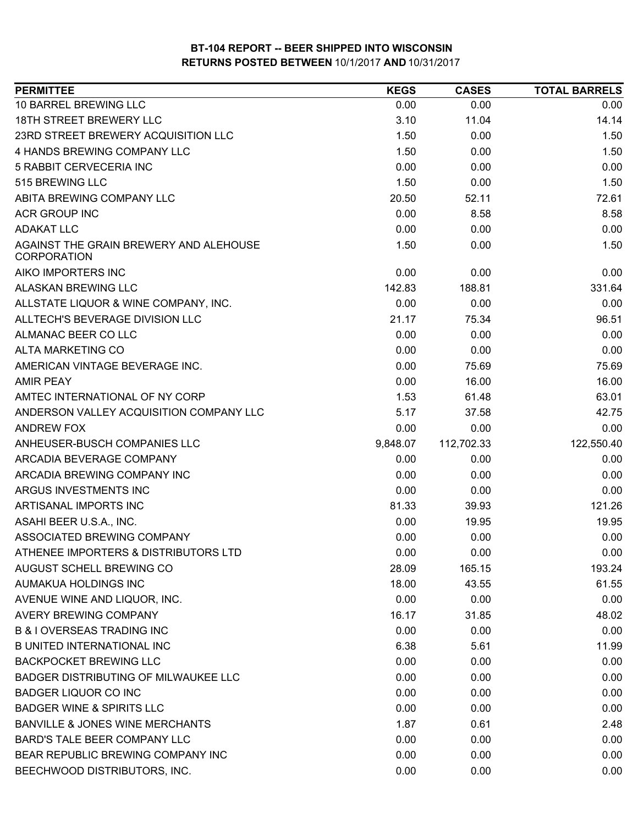| <b>PERMITTEE</b>                                      | <b>KEGS</b> | <b>CASES</b> | <b>TOTAL BARRELS</b> |
|-------------------------------------------------------|-------------|--------------|----------------------|
| 10 BARREL BREWING LLC                                 | 0.00        | 0.00         | 0.00                 |
| 18TH STREET BREWERY LLC                               | 3.10        | 11.04        | 14.14                |
| 23RD STREET BREWERY ACQUISITION LLC                   | 1.50        | 0.00         | 1.50                 |
| 4 HANDS BREWING COMPANY LLC                           | 1.50        | 0.00         | 1.50                 |
| 5 RABBIT CERVECERIA INC                               | 0.00        | 0.00         | 0.00                 |
| 515 BREWING LLC                                       | 1.50        | 0.00         | 1.50                 |
| ABITA BREWING COMPANY LLC                             | 20.50       | 52.11        | 72.61                |
| <b>ACR GROUP INC</b>                                  | 0.00        | 8.58         | 8.58                 |
| <b>ADAKAT LLC</b>                                     | 0.00        | 0.00         | 0.00                 |
| AGAINST THE GRAIN BREWERY AND ALEHOUSE<br>CORPORATION | 1.50        | 0.00         | 1.50                 |
| AIKO IMPORTERS INC                                    | 0.00        | 0.00         | 0.00                 |
| ALASKAN BREWING LLC                                   | 142.83      | 188.81       | 331.64               |
| ALLSTATE LIQUOR & WINE COMPANY, INC.                  | 0.00        | 0.00         | 0.00                 |
| ALLTECH'S BEVERAGE DIVISION LLC                       | 21.17       | 75.34        | 96.51                |
| ALMANAC BEER CO LLC                                   | 0.00        | 0.00         | 0.00                 |
| <b>ALTA MARKETING CO</b>                              | 0.00        | 0.00         | 0.00                 |
| AMERICAN VINTAGE BEVERAGE INC.                        | 0.00        | 75.69        | 75.69                |
| <b>AMIR PEAY</b>                                      | 0.00        | 16.00        | 16.00                |
| AMTEC INTERNATIONAL OF NY CORP                        | 1.53        | 61.48        | 63.01                |
| ANDERSON VALLEY ACQUISITION COMPANY LLC               | 5.17        | 37.58        | 42.75                |
| ANDREW FOX                                            | 0.00        | 0.00         | 0.00                 |
| ANHEUSER-BUSCH COMPANIES LLC                          | 9,848.07    | 112,702.33   | 122,550.40           |
| ARCADIA BEVERAGE COMPANY                              | 0.00        | 0.00         | 0.00                 |
| ARCADIA BREWING COMPANY INC                           | 0.00        | 0.00         | 0.00                 |
| ARGUS INVESTMENTS INC                                 | 0.00        | 0.00         | 0.00                 |
| ARTISANAL IMPORTS INC                                 | 81.33       | 39.93        | 121.26               |
| ASAHI BEER U.S.A., INC.                               | 0.00        | 19.95        | 19.95                |
| ASSOCIATED BREWING COMPANY                            | 0.00        | 0.00         | 0.00                 |
| ATHENEE IMPORTERS & DISTRIBUTORS LTD                  | 0.00        | 0.00         | 0.00                 |
| AUGUST SCHELL BREWING CO                              | 28.09       | 165.15       | 193.24               |
| AUMAKUA HOLDINGS INC                                  | 18.00       | 43.55        | 61.55                |
| AVENUE WINE AND LIQUOR, INC.                          | 0.00        | 0.00         | 0.00                 |
| AVERY BREWING COMPANY                                 | 16.17       | 31.85        | 48.02                |
| <b>B &amp; I OVERSEAS TRADING INC</b>                 | 0.00        | 0.00         | 0.00                 |
| <b>B UNITED INTERNATIONAL INC</b>                     | 6.38        | 5.61         | 11.99                |
| <b>BACKPOCKET BREWING LLC</b>                         | 0.00        | 0.00         | 0.00                 |
| BADGER DISTRIBUTING OF MILWAUKEE LLC                  | 0.00        | 0.00         | 0.00                 |
| <b>BADGER LIQUOR CO INC</b>                           | 0.00        | 0.00         | 0.00                 |
| <b>BADGER WINE &amp; SPIRITS LLC</b>                  | 0.00        | 0.00         | 0.00                 |
| <b>BANVILLE &amp; JONES WINE MERCHANTS</b>            | 1.87        | 0.61         | 2.48                 |
| BARD'S TALE BEER COMPANY LLC                          | 0.00        | 0.00         | 0.00                 |
| BEAR REPUBLIC BREWING COMPANY INC                     | 0.00        | 0.00         | 0.00                 |
| BEECHWOOD DISTRIBUTORS, INC.                          | 0.00        | 0.00         | 0.00                 |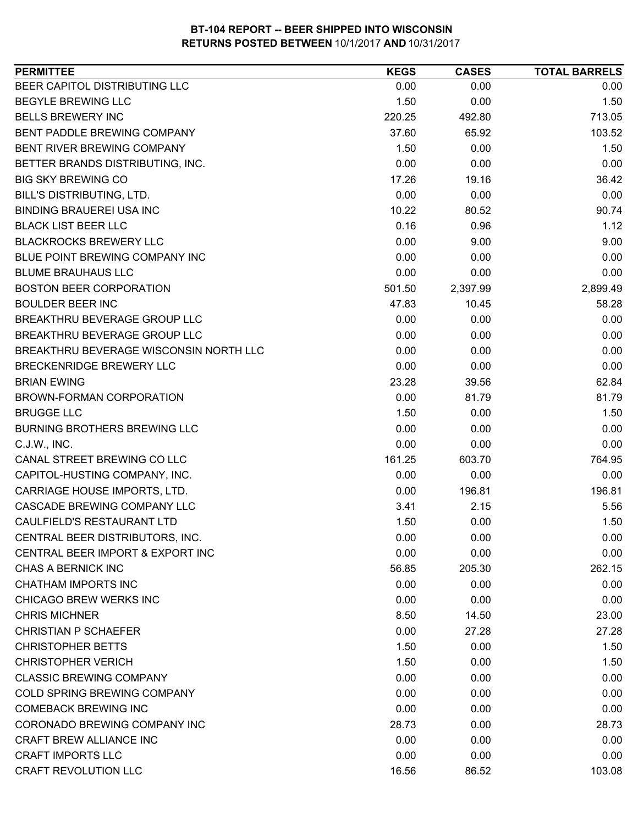| 0.00<br>0.00<br>0.00<br>1.50<br>1.50<br>0.00<br>713.05<br>220.25<br>492.80<br>37.60<br>103.52<br>65.92<br>1.50<br>1.50<br>0.00<br>0.00<br>0.00<br>0.00<br>17.26<br>19.16<br>36.42<br>0.00<br>0.00<br>0.00<br>90.74<br>10.22<br>80.52<br>0.16<br>0.96<br>1.12<br>0.00<br>9.00<br>9.00<br>0.00<br>0.00<br>0.00<br>0.00<br>0.00<br>0.00<br>2,899.49<br>501.50<br>2,397.99<br>10.45<br>58.28<br>47.83<br>0.00<br>0.00<br>0.00<br>0.00<br>0.00<br>0.00<br>0.00<br>0.00<br>0.00<br>0.00<br>0.00<br>0.00<br>23.28<br>39.56<br>62.84<br>0.00<br>81.79<br>81.79<br>1.50<br>0.00<br>1.50<br>0.00<br>0.00<br>0.00<br>0.00<br>0.00<br>0.00<br>161.25<br>764.95<br>603.70<br>0.00<br>0.00<br>0.00<br>0.00<br>196.81<br>196.81<br>CASCADE BREWING COMPANY LLC<br>3.41<br>2.15<br>5.56<br>CAULFIELD'S RESTAURANT LTD<br>1.50<br>0.00<br>1.50<br>0.00<br>0.00<br>0.00<br>0.00<br>0.00<br>0.00<br>262.15<br>56.85<br>205.30<br>0.00<br>0.00<br>0.00<br>0.00<br>0.00<br>0.00<br>8.50<br>23.00<br>14.50<br>0.00<br>27.28<br>27.28<br>1.50<br>0.00<br>1.50<br>1.50<br>0.00<br>1.50<br>0.00<br>0.00<br>0.00<br>0.00<br>0.00<br>0.00<br>0.00<br>0.00<br>0.00 | <b>PERMITTEE</b>                       | <b>KEGS</b> | <b>CASES</b> | <b>TOTAL BARRELS</b> |
|----------------------------------------------------------------------------------------------------------------------------------------------------------------------------------------------------------------------------------------------------------------------------------------------------------------------------------------------------------------------------------------------------------------------------------------------------------------------------------------------------------------------------------------------------------------------------------------------------------------------------------------------------------------------------------------------------------------------------------------------------------------------------------------------------------------------------------------------------------------------------------------------------------------------------------------------------------------------------------------------------------------------------------------------------------------------------------------------------------------------------------------|----------------------------------------|-------------|--------------|----------------------|
|                                                                                                                                                                                                                                                                                                                                                                                                                                                                                                                                                                                                                                                                                                                                                                                                                                                                                                                                                                                                                                                                                                                                        | BEER CAPITOL DISTRIBUTING LLC          |             |              |                      |
|                                                                                                                                                                                                                                                                                                                                                                                                                                                                                                                                                                                                                                                                                                                                                                                                                                                                                                                                                                                                                                                                                                                                        | <b>BEGYLE BREWING LLC</b>              |             |              |                      |
|                                                                                                                                                                                                                                                                                                                                                                                                                                                                                                                                                                                                                                                                                                                                                                                                                                                                                                                                                                                                                                                                                                                                        | <b>BELLS BREWERY INC</b>               |             |              |                      |
|                                                                                                                                                                                                                                                                                                                                                                                                                                                                                                                                                                                                                                                                                                                                                                                                                                                                                                                                                                                                                                                                                                                                        | BENT PADDLE BREWING COMPANY            |             |              |                      |
|                                                                                                                                                                                                                                                                                                                                                                                                                                                                                                                                                                                                                                                                                                                                                                                                                                                                                                                                                                                                                                                                                                                                        | <b>BENT RIVER BREWING COMPANY</b>      |             |              |                      |
|                                                                                                                                                                                                                                                                                                                                                                                                                                                                                                                                                                                                                                                                                                                                                                                                                                                                                                                                                                                                                                                                                                                                        | BETTER BRANDS DISTRIBUTING, INC.       |             |              |                      |
|                                                                                                                                                                                                                                                                                                                                                                                                                                                                                                                                                                                                                                                                                                                                                                                                                                                                                                                                                                                                                                                                                                                                        | <b>BIG SKY BREWING CO</b>              |             |              |                      |
|                                                                                                                                                                                                                                                                                                                                                                                                                                                                                                                                                                                                                                                                                                                                                                                                                                                                                                                                                                                                                                                                                                                                        | BILL'S DISTRIBUTING, LTD.              |             |              |                      |
|                                                                                                                                                                                                                                                                                                                                                                                                                                                                                                                                                                                                                                                                                                                                                                                                                                                                                                                                                                                                                                                                                                                                        | <b>BINDING BRAUEREI USA INC</b>        |             |              |                      |
|                                                                                                                                                                                                                                                                                                                                                                                                                                                                                                                                                                                                                                                                                                                                                                                                                                                                                                                                                                                                                                                                                                                                        | <b>BLACK LIST BEER LLC</b>             |             |              |                      |
|                                                                                                                                                                                                                                                                                                                                                                                                                                                                                                                                                                                                                                                                                                                                                                                                                                                                                                                                                                                                                                                                                                                                        | <b>BLACKROCKS BREWERY LLC</b>          |             |              |                      |
|                                                                                                                                                                                                                                                                                                                                                                                                                                                                                                                                                                                                                                                                                                                                                                                                                                                                                                                                                                                                                                                                                                                                        | BLUE POINT BREWING COMPANY INC         |             |              |                      |
|                                                                                                                                                                                                                                                                                                                                                                                                                                                                                                                                                                                                                                                                                                                                                                                                                                                                                                                                                                                                                                                                                                                                        | <b>BLUME BRAUHAUS LLC</b>              |             |              |                      |
|                                                                                                                                                                                                                                                                                                                                                                                                                                                                                                                                                                                                                                                                                                                                                                                                                                                                                                                                                                                                                                                                                                                                        | <b>BOSTON BEER CORPORATION</b>         |             |              |                      |
|                                                                                                                                                                                                                                                                                                                                                                                                                                                                                                                                                                                                                                                                                                                                                                                                                                                                                                                                                                                                                                                                                                                                        | <b>BOULDER BEER INC</b>                |             |              |                      |
|                                                                                                                                                                                                                                                                                                                                                                                                                                                                                                                                                                                                                                                                                                                                                                                                                                                                                                                                                                                                                                                                                                                                        | BREAKTHRU BEVERAGE GROUP LLC           |             |              |                      |
|                                                                                                                                                                                                                                                                                                                                                                                                                                                                                                                                                                                                                                                                                                                                                                                                                                                                                                                                                                                                                                                                                                                                        | BREAKTHRU BEVERAGE GROUP LLC           |             |              |                      |
|                                                                                                                                                                                                                                                                                                                                                                                                                                                                                                                                                                                                                                                                                                                                                                                                                                                                                                                                                                                                                                                                                                                                        | BREAKTHRU BEVERAGE WISCONSIN NORTH LLC |             |              |                      |
|                                                                                                                                                                                                                                                                                                                                                                                                                                                                                                                                                                                                                                                                                                                                                                                                                                                                                                                                                                                                                                                                                                                                        | BRECKENRIDGE BREWERY LLC               |             |              |                      |
|                                                                                                                                                                                                                                                                                                                                                                                                                                                                                                                                                                                                                                                                                                                                                                                                                                                                                                                                                                                                                                                                                                                                        | <b>BRIAN EWING</b>                     |             |              |                      |
|                                                                                                                                                                                                                                                                                                                                                                                                                                                                                                                                                                                                                                                                                                                                                                                                                                                                                                                                                                                                                                                                                                                                        | BROWN-FORMAN CORPORATION               |             |              |                      |
|                                                                                                                                                                                                                                                                                                                                                                                                                                                                                                                                                                                                                                                                                                                                                                                                                                                                                                                                                                                                                                                                                                                                        | <b>BRUGGE LLC</b>                      |             |              |                      |
|                                                                                                                                                                                                                                                                                                                                                                                                                                                                                                                                                                                                                                                                                                                                                                                                                                                                                                                                                                                                                                                                                                                                        | <b>BURNING BROTHERS BREWING LLC</b>    |             |              |                      |
|                                                                                                                                                                                                                                                                                                                                                                                                                                                                                                                                                                                                                                                                                                                                                                                                                                                                                                                                                                                                                                                                                                                                        | C.J.W., INC.                           |             |              |                      |
|                                                                                                                                                                                                                                                                                                                                                                                                                                                                                                                                                                                                                                                                                                                                                                                                                                                                                                                                                                                                                                                                                                                                        | CANAL STREET BREWING CO LLC            |             |              |                      |
|                                                                                                                                                                                                                                                                                                                                                                                                                                                                                                                                                                                                                                                                                                                                                                                                                                                                                                                                                                                                                                                                                                                                        | CAPITOL-HUSTING COMPANY, INC.          |             |              |                      |
|                                                                                                                                                                                                                                                                                                                                                                                                                                                                                                                                                                                                                                                                                                                                                                                                                                                                                                                                                                                                                                                                                                                                        | CARRIAGE HOUSE IMPORTS, LTD.           |             |              |                      |
|                                                                                                                                                                                                                                                                                                                                                                                                                                                                                                                                                                                                                                                                                                                                                                                                                                                                                                                                                                                                                                                                                                                                        |                                        |             |              |                      |
|                                                                                                                                                                                                                                                                                                                                                                                                                                                                                                                                                                                                                                                                                                                                                                                                                                                                                                                                                                                                                                                                                                                                        |                                        |             |              |                      |
|                                                                                                                                                                                                                                                                                                                                                                                                                                                                                                                                                                                                                                                                                                                                                                                                                                                                                                                                                                                                                                                                                                                                        | CENTRAL BEER DISTRIBUTORS, INC.        |             |              |                      |
|                                                                                                                                                                                                                                                                                                                                                                                                                                                                                                                                                                                                                                                                                                                                                                                                                                                                                                                                                                                                                                                                                                                                        | CENTRAL BEER IMPORT & EXPORT INC       |             |              |                      |
|                                                                                                                                                                                                                                                                                                                                                                                                                                                                                                                                                                                                                                                                                                                                                                                                                                                                                                                                                                                                                                                                                                                                        | CHAS A BERNICK INC                     |             |              |                      |
|                                                                                                                                                                                                                                                                                                                                                                                                                                                                                                                                                                                                                                                                                                                                                                                                                                                                                                                                                                                                                                                                                                                                        | <b>CHATHAM IMPORTS INC</b>             |             |              |                      |
|                                                                                                                                                                                                                                                                                                                                                                                                                                                                                                                                                                                                                                                                                                                                                                                                                                                                                                                                                                                                                                                                                                                                        | CHICAGO BREW WERKS INC                 |             |              |                      |
|                                                                                                                                                                                                                                                                                                                                                                                                                                                                                                                                                                                                                                                                                                                                                                                                                                                                                                                                                                                                                                                                                                                                        | <b>CHRIS MICHNER</b>                   |             |              |                      |
|                                                                                                                                                                                                                                                                                                                                                                                                                                                                                                                                                                                                                                                                                                                                                                                                                                                                                                                                                                                                                                                                                                                                        | <b>CHRISTIAN P SCHAEFER</b>            |             |              |                      |
|                                                                                                                                                                                                                                                                                                                                                                                                                                                                                                                                                                                                                                                                                                                                                                                                                                                                                                                                                                                                                                                                                                                                        | <b>CHRISTOPHER BETTS</b>               |             |              |                      |
|                                                                                                                                                                                                                                                                                                                                                                                                                                                                                                                                                                                                                                                                                                                                                                                                                                                                                                                                                                                                                                                                                                                                        | <b>CHRISTOPHER VERICH</b>              |             |              |                      |
|                                                                                                                                                                                                                                                                                                                                                                                                                                                                                                                                                                                                                                                                                                                                                                                                                                                                                                                                                                                                                                                                                                                                        | <b>CLASSIC BREWING COMPANY</b>         |             |              |                      |
|                                                                                                                                                                                                                                                                                                                                                                                                                                                                                                                                                                                                                                                                                                                                                                                                                                                                                                                                                                                                                                                                                                                                        | COLD SPRING BREWING COMPANY            |             |              |                      |
|                                                                                                                                                                                                                                                                                                                                                                                                                                                                                                                                                                                                                                                                                                                                                                                                                                                                                                                                                                                                                                                                                                                                        | <b>COMEBACK BREWING INC</b>            |             |              |                      |
| 28.73<br>0.00<br>28.73                                                                                                                                                                                                                                                                                                                                                                                                                                                                                                                                                                                                                                                                                                                                                                                                                                                                                                                                                                                                                                                                                                                 | CORONADO BREWING COMPANY INC           |             |              |                      |
| 0.00<br>0.00<br>0.00                                                                                                                                                                                                                                                                                                                                                                                                                                                                                                                                                                                                                                                                                                                                                                                                                                                                                                                                                                                                                                                                                                                   | CRAFT BREW ALLIANCE INC                |             |              |                      |
| 0.00<br>0.00<br>0.00                                                                                                                                                                                                                                                                                                                                                                                                                                                                                                                                                                                                                                                                                                                                                                                                                                                                                                                                                                                                                                                                                                                   | <b>CRAFT IMPORTS LLC</b>               |             |              |                      |
| <b>CRAFT REVOLUTION LLC</b><br>103.08<br>16.56<br>86.52                                                                                                                                                                                                                                                                                                                                                                                                                                                                                                                                                                                                                                                                                                                                                                                                                                                                                                                                                                                                                                                                                |                                        |             |              |                      |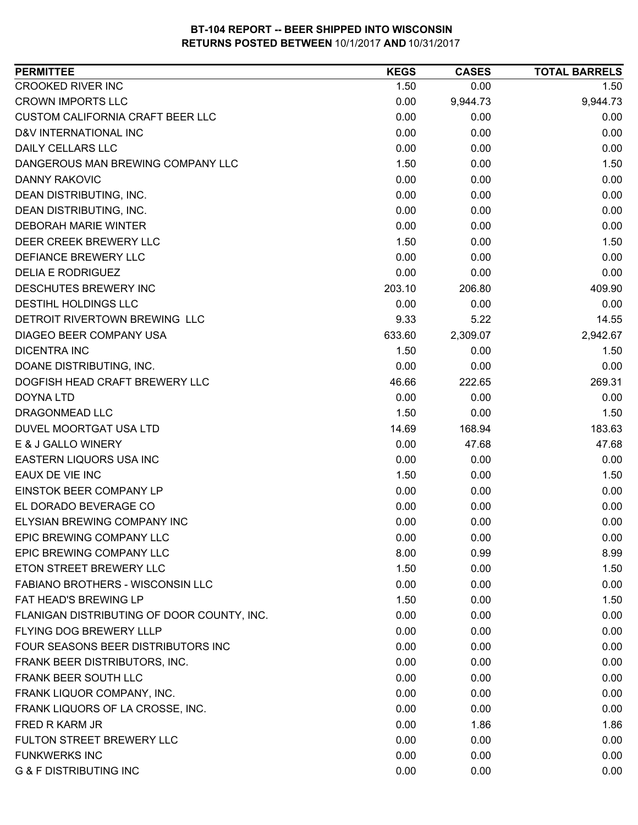| <b>PERMITTEE</b>                           | <b>KEGS</b> | <b>CASES</b> | <b>TOTAL BARRELS</b> |
|--------------------------------------------|-------------|--------------|----------------------|
| <b>CROOKED RIVER INC</b>                   | 1.50        | 0.00         | 1.50                 |
| <b>CROWN IMPORTS LLC</b>                   | 0.00        | 9,944.73     | 9,944.73             |
| <b>CUSTOM CALIFORNIA CRAFT BEER LLC</b>    | 0.00        | 0.00         | 0.00                 |
| D&V INTERNATIONAL INC                      | 0.00        | 0.00         | 0.00                 |
| <b>DAILY CELLARS LLC</b>                   | 0.00        | 0.00         | 0.00                 |
| DANGEROUS MAN BREWING COMPANY LLC          | 1.50        | 0.00         | 1.50                 |
| <b>DANNY RAKOVIC</b>                       | 0.00        | 0.00         | 0.00                 |
| DEAN DISTRIBUTING, INC.                    | 0.00        | 0.00         | 0.00                 |
| DEAN DISTRIBUTING, INC.                    | 0.00        | 0.00         | 0.00                 |
| <b>DEBORAH MARIE WINTER</b>                | 0.00        | 0.00         | 0.00                 |
| DEER CREEK BREWERY LLC                     | 1.50        | 0.00         | 1.50                 |
| DEFIANCE BREWERY LLC                       | 0.00        | 0.00         | 0.00                 |
| <b>DELIA E RODRIGUEZ</b>                   | 0.00        | 0.00         | 0.00                 |
| DESCHUTES BREWERY INC                      | 203.10      | 206.80       | 409.90               |
| DESTIHL HOLDINGS LLC                       | 0.00        | 0.00         | 0.00                 |
| DETROIT RIVERTOWN BREWING LLC              | 9.33        | 5.22         | 14.55                |
| <b>DIAGEO BEER COMPANY USA</b>             | 633.60      | 2,309.07     | 2,942.67             |
| <b>DICENTRA INC</b>                        | 1.50        | 0.00         | 1.50                 |
| DOANE DISTRIBUTING, INC.                   | 0.00        | 0.00         | 0.00                 |
| DOGFISH HEAD CRAFT BREWERY LLC             | 46.66       | 222.65       | 269.31               |
| <b>DOYNA LTD</b>                           | 0.00        | 0.00         | 0.00                 |
| DRAGONMEAD LLC                             | 1.50        | 0.00         | 1.50                 |
| DUVEL MOORTGAT USA LTD                     | 14.69       | 168.94       | 183.63               |
| E & J GALLO WINERY                         | 0.00        | 47.68        | 47.68                |
| EASTERN LIQUORS USA INC                    | 0.00        | 0.00         | 0.00                 |
| EAUX DE VIE INC                            | 1.50        | 0.00         | 1.50                 |
| EINSTOK BEER COMPANY LP                    | 0.00        | 0.00         | 0.00                 |
| EL DORADO BEVERAGE CO                      | 0.00        | 0.00         | 0.00                 |
| ELYSIAN BREWING COMPANY INC                | 0.00        | 0.00         | 0.00                 |
| EPIC BREWING COMPANY LLC                   | 0.00        | 0.00         | 0.00                 |
| EPIC BREWING COMPANY LLC                   | 8.00        | 0.99         | 8.99                 |
| ETON STREET BREWERY LLC                    | 1.50        | 0.00         | 1.50                 |
| FABIANO BROTHERS - WISCONSIN LLC           | 0.00        | 0.00         | 0.00                 |
| FAT HEAD'S BREWING LP                      | 1.50        | 0.00         | 1.50                 |
| FLANIGAN DISTRIBUTING OF DOOR COUNTY, INC. | 0.00        | 0.00         | 0.00                 |
| <b>FLYING DOG BREWERY LLLP</b>             | 0.00        | 0.00         | 0.00                 |
| FOUR SEASONS BEER DISTRIBUTORS INC         | 0.00        | 0.00         | 0.00                 |
| FRANK BEER DISTRIBUTORS, INC.              | 0.00        | 0.00         | 0.00                 |
| FRANK BEER SOUTH LLC                       | 0.00        | 0.00         | 0.00                 |
| FRANK LIQUOR COMPANY, INC.                 | 0.00        | 0.00         | 0.00                 |
| FRANK LIQUORS OF LA CROSSE, INC.           | 0.00        | 0.00         | 0.00                 |
| FRED R KARM JR                             | 0.00        | 1.86         | 1.86                 |
| FULTON STREET BREWERY LLC                  | 0.00        | 0.00         | 0.00                 |
| <b>FUNKWERKS INC</b>                       | 0.00        | 0.00         | 0.00                 |
| <b>G &amp; F DISTRIBUTING INC</b>          | 0.00        | 0.00         | 0.00                 |
|                                            |             |              |                      |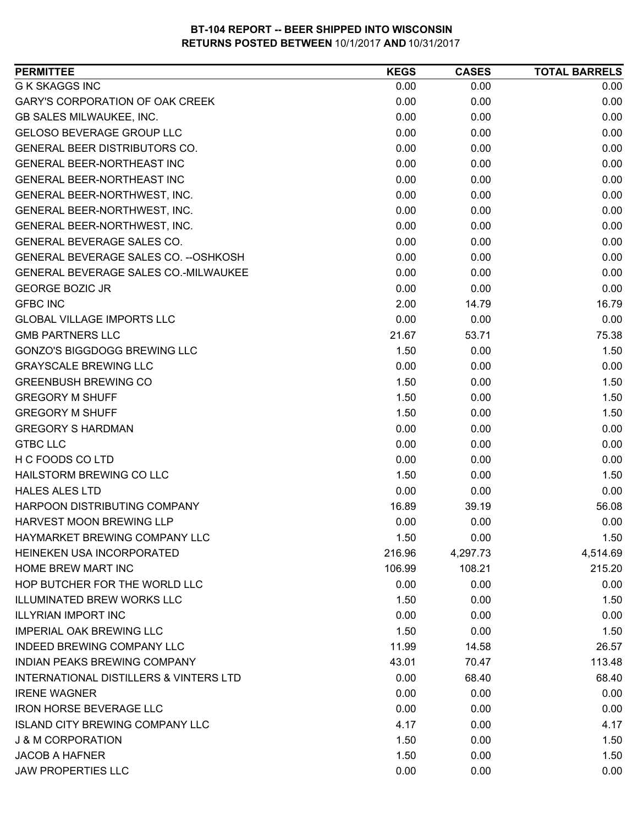| 0.00<br>0.00<br>0.00<br>0.00<br>0.00<br>0.00<br>0.00<br>0.00<br>0.00<br>0.00<br>0.00<br>0.00<br>0.00<br>0.00<br>0.00<br>0.00<br>0.00<br>0.00<br>0.00<br>0.00<br>0.00<br>0.00<br>0.00<br>0.00<br>0.00<br>0.00<br>0.00<br>0.00<br>0.00<br>0.00<br>0.00<br>0.00<br>0.00<br>0.00<br>0.00<br>0.00<br>0.00<br>0.00<br>0.00<br>0.00<br>0.00<br>0.00<br>2.00<br>16.79<br>14.79<br>0.00<br>0.00<br>0.00<br>21.67<br>75.38<br>53.71<br>1.50<br>1.50<br>0.00<br>0.00<br>0.00<br>0.00<br>1.50<br>1.50<br>0.00<br>1.50<br>0.00<br>1.50<br>1.50<br>1.50<br>0.00<br>0.00<br>0.00<br>0.00<br>0.00<br>0.00<br>0.00<br>0.00<br>0.00<br>0.00<br>1.50<br>0.00<br>1.50<br>0.00<br>0.00<br>0.00<br>16.89<br>39.19<br>56.08<br>0.00<br>0.00<br>0.00<br>1.50<br>0.00<br>1.50<br>216.96<br>4,297.73<br>4,514.69<br>108.21<br>215.20<br>106.99<br>0.00<br>0.00<br>0.00<br>1.50<br>1.50<br>0.00<br>0.00<br>0.00<br>0.00<br>1.50<br>1.50<br>0.00<br>11.99<br>26.57<br>14.58<br>43.01<br>113.48<br>70.47<br>0.00<br>68.40<br>68.40<br>0.00<br>0.00<br>0.00<br>0.00<br>0.00<br>0.00<br>4.17<br>4.17<br>0.00 | <b>PERMITTEE</b>                       | <b>KEGS</b> | <b>CASES</b> | <b>TOTAL BARRELS</b> |
|-------------------------------------------------------------------------------------------------------------------------------------------------------------------------------------------------------------------------------------------------------------------------------------------------------------------------------------------------------------------------------------------------------------------------------------------------------------------------------------------------------------------------------------------------------------------------------------------------------------------------------------------------------------------------------------------------------------------------------------------------------------------------------------------------------------------------------------------------------------------------------------------------------------------------------------------------------------------------------------------------------------------------------------------------------------------------------|----------------------------------------|-------------|--------------|----------------------|
|                                                                                                                                                                                                                                                                                                                                                                                                                                                                                                                                                                                                                                                                                                                                                                                                                                                                                                                                                                                                                                                                               | <b>G K SKAGGS INC</b>                  |             |              |                      |
|                                                                                                                                                                                                                                                                                                                                                                                                                                                                                                                                                                                                                                                                                                                                                                                                                                                                                                                                                                                                                                                                               | GARY'S CORPORATION OF OAK CREEK        |             |              |                      |
|                                                                                                                                                                                                                                                                                                                                                                                                                                                                                                                                                                                                                                                                                                                                                                                                                                                                                                                                                                                                                                                                               | GB SALES MILWAUKEE, INC.               |             |              |                      |
|                                                                                                                                                                                                                                                                                                                                                                                                                                                                                                                                                                                                                                                                                                                                                                                                                                                                                                                                                                                                                                                                               | <b>GELOSO BEVERAGE GROUP LLC</b>       |             |              |                      |
|                                                                                                                                                                                                                                                                                                                                                                                                                                                                                                                                                                                                                                                                                                                                                                                                                                                                                                                                                                                                                                                                               | GENERAL BEER DISTRIBUTORS CO.          |             |              |                      |
|                                                                                                                                                                                                                                                                                                                                                                                                                                                                                                                                                                                                                                                                                                                                                                                                                                                                                                                                                                                                                                                                               | <b>GENERAL BEER-NORTHEAST INC</b>      |             |              |                      |
|                                                                                                                                                                                                                                                                                                                                                                                                                                                                                                                                                                                                                                                                                                                                                                                                                                                                                                                                                                                                                                                                               | GENERAL BEER-NORTHEAST INC             |             |              |                      |
|                                                                                                                                                                                                                                                                                                                                                                                                                                                                                                                                                                                                                                                                                                                                                                                                                                                                                                                                                                                                                                                                               | GENERAL BEER-NORTHWEST, INC.           |             |              |                      |
|                                                                                                                                                                                                                                                                                                                                                                                                                                                                                                                                                                                                                                                                                                                                                                                                                                                                                                                                                                                                                                                                               | GENERAL BEER-NORTHWEST, INC.           |             |              |                      |
|                                                                                                                                                                                                                                                                                                                                                                                                                                                                                                                                                                                                                                                                                                                                                                                                                                                                                                                                                                                                                                                                               | GENERAL BEER-NORTHWEST, INC.           |             |              |                      |
|                                                                                                                                                                                                                                                                                                                                                                                                                                                                                                                                                                                                                                                                                                                                                                                                                                                                                                                                                                                                                                                                               | GENERAL BEVERAGE SALES CO.             |             |              |                      |
|                                                                                                                                                                                                                                                                                                                                                                                                                                                                                                                                                                                                                                                                                                                                                                                                                                                                                                                                                                                                                                                                               | GENERAL BEVERAGE SALES CO. -- OSHKOSH  |             |              |                      |
|                                                                                                                                                                                                                                                                                                                                                                                                                                                                                                                                                                                                                                                                                                                                                                                                                                                                                                                                                                                                                                                                               | GENERAL BEVERAGE SALES CO.-MILWAUKEE   |             |              |                      |
|                                                                                                                                                                                                                                                                                                                                                                                                                                                                                                                                                                                                                                                                                                                                                                                                                                                                                                                                                                                                                                                                               | <b>GEORGE BOZIC JR</b>                 |             |              |                      |
|                                                                                                                                                                                                                                                                                                                                                                                                                                                                                                                                                                                                                                                                                                                                                                                                                                                                                                                                                                                                                                                                               | <b>GFBC INC</b>                        |             |              |                      |
|                                                                                                                                                                                                                                                                                                                                                                                                                                                                                                                                                                                                                                                                                                                                                                                                                                                                                                                                                                                                                                                                               | <b>GLOBAL VILLAGE IMPORTS LLC</b>      |             |              |                      |
|                                                                                                                                                                                                                                                                                                                                                                                                                                                                                                                                                                                                                                                                                                                                                                                                                                                                                                                                                                                                                                                                               | <b>GMB PARTNERS LLC</b>                |             |              |                      |
|                                                                                                                                                                                                                                                                                                                                                                                                                                                                                                                                                                                                                                                                                                                                                                                                                                                                                                                                                                                                                                                                               | <b>GONZO'S BIGGDOGG BREWING LLC</b>    |             |              |                      |
|                                                                                                                                                                                                                                                                                                                                                                                                                                                                                                                                                                                                                                                                                                                                                                                                                                                                                                                                                                                                                                                                               | <b>GRAYSCALE BREWING LLC</b>           |             |              |                      |
|                                                                                                                                                                                                                                                                                                                                                                                                                                                                                                                                                                                                                                                                                                                                                                                                                                                                                                                                                                                                                                                                               | <b>GREENBUSH BREWING CO</b>            |             |              |                      |
|                                                                                                                                                                                                                                                                                                                                                                                                                                                                                                                                                                                                                                                                                                                                                                                                                                                                                                                                                                                                                                                                               | <b>GREGORY M SHUFF</b>                 |             |              |                      |
|                                                                                                                                                                                                                                                                                                                                                                                                                                                                                                                                                                                                                                                                                                                                                                                                                                                                                                                                                                                                                                                                               | <b>GREGORY M SHUFF</b>                 |             |              |                      |
|                                                                                                                                                                                                                                                                                                                                                                                                                                                                                                                                                                                                                                                                                                                                                                                                                                                                                                                                                                                                                                                                               | <b>GREGORY S HARDMAN</b>               |             |              |                      |
|                                                                                                                                                                                                                                                                                                                                                                                                                                                                                                                                                                                                                                                                                                                                                                                                                                                                                                                                                                                                                                                                               | <b>GTBC LLC</b>                        |             |              |                      |
|                                                                                                                                                                                                                                                                                                                                                                                                                                                                                                                                                                                                                                                                                                                                                                                                                                                                                                                                                                                                                                                                               | H C FOODS CO LTD                       |             |              |                      |
|                                                                                                                                                                                                                                                                                                                                                                                                                                                                                                                                                                                                                                                                                                                                                                                                                                                                                                                                                                                                                                                                               | HAILSTORM BREWING CO LLC               |             |              |                      |
|                                                                                                                                                                                                                                                                                                                                                                                                                                                                                                                                                                                                                                                                                                                                                                                                                                                                                                                                                                                                                                                                               | <b>HALES ALES LTD</b>                  |             |              |                      |
|                                                                                                                                                                                                                                                                                                                                                                                                                                                                                                                                                                                                                                                                                                                                                                                                                                                                                                                                                                                                                                                                               | HARPOON DISTRIBUTING COMPANY           |             |              |                      |
|                                                                                                                                                                                                                                                                                                                                                                                                                                                                                                                                                                                                                                                                                                                                                                                                                                                                                                                                                                                                                                                                               | HARVEST MOON BREWING LLP               |             |              |                      |
|                                                                                                                                                                                                                                                                                                                                                                                                                                                                                                                                                                                                                                                                                                                                                                                                                                                                                                                                                                                                                                                                               | HAYMARKET BREWING COMPANY LLC          |             |              |                      |
|                                                                                                                                                                                                                                                                                                                                                                                                                                                                                                                                                                                                                                                                                                                                                                                                                                                                                                                                                                                                                                                                               | HEINEKEN USA INCORPORATED              |             |              |                      |
|                                                                                                                                                                                                                                                                                                                                                                                                                                                                                                                                                                                                                                                                                                                                                                                                                                                                                                                                                                                                                                                                               | <b>HOME BREW MART INC</b>              |             |              |                      |
|                                                                                                                                                                                                                                                                                                                                                                                                                                                                                                                                                                                                                                                                                                                                                                                                                                                                                                                                                                                                                                                                               | HOP BUTCHER FOR THE WORLD LLC          |             |              |                      |
|                                                                                                                                                                                                                                                                                                                                                                                                                                                                                                                                                                                                                                                                                                                                                                                                                                                                                                                                                                                                                                                                               | <b>ILLUMINATED BREW WORKS LLC</b>      |             |              |                      |
|                                                                                                                                                                                                                                                                                                                                                                                                                                                                                                                                                                                                                                                                                                                                                                                                                                                                                                                                                                                                                                                                               | <b>ILLYRIAN IMPORT INC</b>             |             |              |                      |
|                                                                                                                                                                                                                                                                                                                                                                                                                                                                                                                                                                                                                                                                                                                                                                                                                                                                                                                                                                                                                                                                               | <b>IMPERIAL OAK BREWING LLC</b>        |             |              |                      |
|                                                                                                                                                                                                                                                                                                                                                                                                                                                                                                                                                                                                                                                                                                                                                                                                                                                                                                                                                                                                                                                                               | <b>INDEED BREWING COMPANY LLC</b>      |             |              |                      |
|                                                                                                                                                                                                                                                                                                                                                                                                                                                                                                                                                                                                                                                                                                                                                                                                                                                                                                                                                                                                                                                                               | <b>INDIAN PEAKS BREWING COMPANY</b>    |             |              |                      |
|                                                                                                                                                                                                                                                                                                                                                                                                                                                                                                                                                                                                                                                                                                                                                                                                                                                                                                                                                                                                                                                                               | INTERNATIONAL DISTILLERS & VINTERS LTD |             |              |                      |
|                                                                                                                                                                                                                                                                                                                                                                                                                                                                                                                                                                                                                                                                                                                                                                                                                                                                                                                                                                                                                                                                               | <b>IRENE WAGNER</b>                    |             |              |                      |
|                                                                                                                                                                                                                                                                                                                                                                                                                                                                                                                                                                                                                                                                                                                                                                                                                                                                                                                                                                                                                                                                               | <b>IRON HORSE BEVERAGE LLC</b>         |             |              |                      |
|                                                                                                                                                                                                                                                                                                                                                                                                                                                                                                                                                                                                                                                                                                                                                                                                                                                                                                                                                                                                                                                                               | <b>ISLAND CITY BREWING COMPANY LLC</b> |             |              |                      |
|                                                                                                                                                                                                                                                                                                                                                                                                                                                                                                                                                                                                                                                                                                                                                                                                                                                                                                                                                                                                                                                                               | <b>J &amp; M CORPORATION</b>           | 1.50        | 0.00         | 1.50                 |
| 1.50<br>1.50<br>0.00                                                                                                                                                                                                                                                                                                                                                                                                                                                                                                                                                                                                                                                                                                                                                                                                                                                                                                                                                                                                                                                          | <b>JACOB A HAFNER</b>                  |             |              |                      |
| 0.00<br>0.00<br>0.00                                                                                                                                                                                                                                                                                                                                                                                                                                                                                                                                                                                                                                                                                                                                                                                                                                                                                                                                                                                                                                                          | <b>JAW PROPERTIES LLC</b>              |             |              |                      |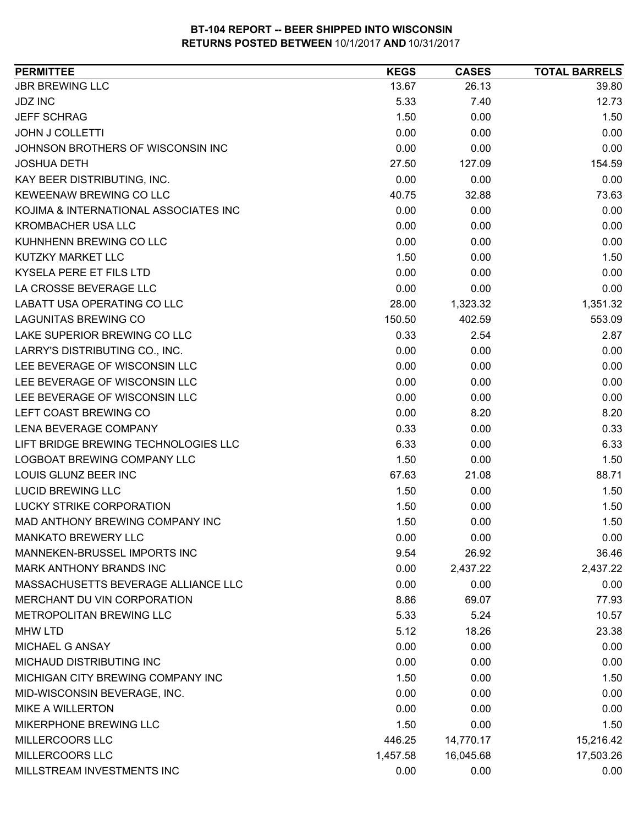| <b>JBR BREWING LLC</b><br>26.13<br>39.80<br>13.67<br><b>JDZ INC</b><br>5.33<br>12.73<br>7.40<br>1.50<br><b>JEFF SCHRAG</b><br>0.00<br>1.50<br>0.00<br>0.00<br>0.00<br><b>JOHN J COLLETTI</b><br>0.00<br>0.00<br>JOHNSON BROTHERS OF WISCONSIN INC<br>0.00<br>27.50<br>154.59<br><b>JOSHUA DETH</b><br>127.09<br>0.00<br>KAY BEER DISTRIBUTING, INC.<br>0.00<br>0.00<br><b>KEWEENAW BREWING CO LLC</b><br>40.75<br>32.88<br>73.63<br>KOJIMA & INTERNATIONAL ASSOCIATES INC<br>0.00<br>0.00<br>0.00<br><b>KROMBACHER USA LLC</b><br>0.00<br>0.00<br>0.00<br>KUHNHENN BREWING CO LLC<br>0.00<br>0.00<br>0.00<br>KUTZKY MARKET LLC<br>1.50<br>1.50<br>0.00<br>KYSELA PERE ET FILS LTD<br>0.00<br>0.00<br>0.00<br>LA CROSSE BEVERAGE LLC<br>0.00<br>0.00<br>0.00<br><b>LABATT USA OPERATING CO LLC</b><br>28.00<br>1,323.32<br>1,351.32<br><b>LAGUNITAS BREWING CO</b><br>150.50<br>553.09<br>402.59<br>LAKE SUPERIOR BREWING CO LLC<br>0.33<br>2.87<br>2.54<br>LARRY'S DISTRIBUTING CO., INC.<br>0.00<br>0.00<br>0.00<br>0.00<br>0.00<br>LEE BEVERAGE OF WISCONSIN LLC<br>0.00<br>LEE BEVERAGE OF WISCONSIN LLC<br>0.00<br>0.00<br>0.00<br>0.00<br>LEE BEVERAGE OF WISCONSIN LLC<br>0.00<br>0.00<br>LEFT COAST BREWING CO<br>0.00<br>8.20<br>8.20<br>LENA BEVERAGE COMPANY<br>0.33<br>0.00<br>0.33<br>LIFT BRIDGE BREWING TECHNOLOGIES LLC<br>6.33<br>6.33<br>0.00<br>LOGBOAT BREWING COMPANY LLC<br>1.50<br>0.00<br>1.50<br><b>LOUIS GLUNZ BEER INC</b><br>88.71<br>67.63<br>21.08<br><b>LUCID BREWING LLC</b><br>1.50<br>0.00<br>1.50<br><b>LUCKY STRIKE CORPORATION</b><br>1.50<br>0.00<br>1.50<br>MAD ANTHONY BREWING COMPANY INC<br>1.50<br>0.00<br>1.50<br><b>MANKATO BREWERY LLC</b><br>0.00<br>0.00<br>0.00<br>MANNEKEN-BRUSSEL IMPORTS INC<br>9.54<br>26.92<br>36.46<br>MARK ANTHONY BRANDS INC<br>0.00<br>2,437.22<br>2,437.22<br>MASSACHUSETTS BEVERAGE ALLIANCE LLC<br>0.00<br>0.00<br>0.00<br>8.86<br>77.93<br>MERCHANT DU VIN CORPORATION<br>69.07 |
|--------------------------------------------------------------------------------------------------------------------------------------------------------------------------------------------------------------------------------------------------------------------------------------------------------------------------------------------------------------------------------------------------------------------------------------------------------------------------------------------------------------------------------------------------------------------------------------------------------------------------------------------------------------------------------------------------------------------------------------------------------------------------------------------------------------------------------------------------------------------------------------------------------------------------------------------------------------------------------------------------------------------------------------------------------------------------------------------------------------------------------------------------------------------------------------------------------------------------------------------------------------------------------------------------------------------------------------------------------------------------------------------------------------------------------------------------------------------------------------------------------------------------------------------------------------------------------------------------------------------------------------------------------------------------------------------------------------------------------------------------------------------------------------------------------------------------------------------------------------------------------------------------------------------------------------------------------------|
|                                                                                                                                                                                                                                                                                                                                                                                                                                                                                                                                                                                                                                                                                                                                                                                                                                                                                                                                                                                                                                                                                                                                                                                                                                                                                                                                                                                                                                                                                                                                                                                                                                                                                                                                                                                                                                                                                                                                                              |
|                                                                                                                                                                                                                                                                                                                                                                                                                                                                                                                                                                                                                                                                                                                                                                                                                                                                                                                                                                                                                                                                                                                                                                                                                                                                                                                                                                                                                                                                                                                                                                                                                                                                                                                                                                                                                                                                                                                                                              |
|                                                                                                                                                                                                                                                                                                                                                                                                                                                                                                                                                                                                                                                                                                                                                                                                                                                                                                                                                                                                                                                                                                                                                                                                                                                                                                                                                                                                                                                                                                                                                                                                                                                                                                                                                                                                                                                                                                                                                              |
|                                                                                                                                                                                                                                                                                                                                                                                                                                                                                                                                                                                                                                                                                                                                                                                                                                                                                                                                                                                                                                                                                                                                                                                                                                                                                                                                                                                                                                                                                                                                                                                                                                                                                                                                                                                                                                                                                                                                                              |
|                                                                                                                                                                                                                                                                                                                                                                                                                                                                                                                                                                                                                                                                                                                                                                                                                                                                                                                                                                                                                                                                                                                                                                                                                                                                                                                                                                                                                                                                                                                                                                                                                                                                                                                                                                                                                                                                                                                                                              |
|                                                                                                                                                                                                                                                                                                                                                                                                                                                                                                                                                                                                                                                                                                                                                                                                                                                                                                                                                                                                                                                                                                                                                                                                                                                                                                                                                                                                                                                                                                                                                                                                                                                                                                                                                                                                                                                                                                                                                              |
|                                                                                                                                                                                                                                                                                                                                                                                                                                                                                                                                                                                                                                                                                                                                                                                                                                                                                                                                                                                                                                                                                                                                                                                                                                                                                                                                                                                                                                                                                                                                                                                                                                                                                                                                                                                                                                                                                                                                                              |
|                                                                                                                                                                                                                                                                                                                                                                                                                                                                                                                                                                                                                                                                                                                                                                                                                                                                                                                                                                                                                                                                                                                                                                                                                                                                                                                                                                                                                                                                                                                                                                                                                                                                                                                                                                                                                                                                                                                                                              |
|                                                                                                                                                                                                                                                                                                                                                                                                                                                                                                                                                                                                                                                                                                                                                                                                                                                                                                                                                                                                                                                                                                                                                                                                                                                                                                                                                                                                                                                                                                                                                                                                                                                                                                                                                                                                                                                                                                                                                              |
|                                                                                                                                                                                                                                                                                                                                                                                                                                                                                                                                                                                                                                                                                                                                                                                                                                                                                                                                                                                                                                                                                                                                                                                                                                                                                                                                                                                                                                                                                                                                                                                                                                                                                                                                                                                                                                                                                                                                                              |
|                                                                                                                                                                                                                                                                                                                                                                                                                                                                                                                                                                                                                                                                                                                                                                                                                                                                                                                                                                                                                                                                                                                                                                                                                                                                                                                                                                                                                                                                                                                                                                                                                                                                                                                                                                                                                                                                                                                                                              |
|                                                                                                                                                                                                                                                                                                                                                                                                                                                                                                                                                                                                                                                                                                                                                                                                                                                                                                                                                                                                                                                                                                                                                                                                                                                                                                                                                                                                                                                                                                                                                                                                                                                                                                                                                                                                                                                                                                                                                              |
|                                                                                                                                                                                                                                                                                                                                                                                                                                                                                                                                                                                                                                                                                                                                                                                                                                                                                                                                                                                                                                                                                                                                                                                                                                                                                                                                                                                                                                                                                                                                                                                                                                                                                                                                                                                                                                                                                                                                                              |
|                                                                                                                                                                                                                                                                                                                                                                                                                                                                                                                                                                                                                                                                                                                                                                                                                                                                                                                                                                                                                                                                                                                                                                                                                                                                                                                                                                                                                                                                                                                                                                                                                                                                                                                                                                                                                                                                                                                                                              |
|                                                                                                                                                                                                                                                                                                                                                                                                                                                                                                                                                                                                                                                                                                                                                                                                                                                                                                                                                                                                                                                                                                                                                                                                                                                                                                                                                                                                                                                                                                                                                                                                                                                                                                                                                                                                                                                                                                                                                              |
|                                                                                                                                                                                                                                                                                                                                                                                                                                                                                                                                                                                                                                                                                                                                                                                                                                                                                                                                                                                                                                                                                                                                                                                                                                                                                                                                                                                                                                                                                                                                                                                                                                                                                                                                                                                                                                                                                                                                                              |
|                                                                                                                                                                                                                                                                                                                                                                                                                                                                                                                                                                                                                                                                                                                                                                                                                                                                                                                                                                                                                                                                                                                                                                                                                                                                                                                                                                                                                                                                                                                                                                                                                                                                                                                                                                                                                                                                                                                                                              |
|                                                                                                                                                                                                                                                                                                                                                                                                                                                                                                                                                                                                                                                                                                                                                                                                                                                                                                                                                                                                                                                                                                                                                                                                                                                                                                                                                                                                                                                                                                                                                                                                                                                                                                                                                                                                                                                                                                                                                              |
|                                                                                                                                                                                                                                                                                                                                                                                                                                                                                                                                                                                                                                                                                                                                                                                                                                                                                                                                                                                                                                                                                                                                                                                                                                                                                                                                                                                                                                                                                                                                                                                                                                                                                                                                                                                                                                                                                                                                                              |
|                                                                                                                                                                                                                                                                                                                                                                                                                                                                                                                                                                                                                                                                                                                                                                                                                                                                                                                                                                                                                                                                                                                                                                                                                                                                                                                                                                                                                                                                                                                                                                                                                                                                                                                                                                                                                                                                                                                                                              |
|                                                                                                                                                                                                                                                                                                                                                                                                                                                                                                                                                                                                                                                                                                                                                                                                                                                                                                                                                                                                                                                                                                                                                                                                                                                                                                                                                                                                                                                                                                                                                                                                                                                                                                                                                                                                                                                                                                                                                              |
|                                                                                                                                                                                                                                                                                                                                                                                                                                                                                                                                                                                                                                                                                                                                                                                                                                                                                                                                                                                                                                                                                                                                                                                                                                                                                                                                                                                                                                                                                                                                                                                                                                                                                                                                                                                                                                                                                                                                                              |
|                                                                                                                                                                                                                                                                                                                                                                                                                                                                                                                                                                                                                                                                                                                                                                                                                                                                                                                                                                                                                                                                                                                                                                                                                                                                                                                                                                                                                                                                                                                                                                                                                                                                                                                                                                                                                                                                                                                                                              |
|                                                                                                                                                                                                                                                                                                                                                                                                                                                                                                                                                                                                                                                                                                                                                                                                                                                                                                                                                                                                                                                                                                                                                                                                                                                                                                                                                                                                                                                                                                                                                                                                                                                                                                                                                                                                                                                                                                                                                              |
|                                                                                                                                                                                                                                                                                                                                                                                                                                                                                                                                                                                                                                                                                                                                                                                                                                                                                                                                                                                                                                                                                                                                                                                                                                                                                                                                                                                                                                                                                                                                                                                                                                                                                                                                                                                                                                                                                                                                                              |
|                                                                                                                                                                                                                                                                                                                                                                                                                                                                                                                                                                                                                                                                                                                                                                                                                                                                                                                                                                                                                                                                                                                                                                                                                                                                                                                                                                                                                                                                                                                                                                                                                                                                                                                                                                                                                                                                                                                                                              |
|                                                                                                                                                                                                                                                                                                                                                                                                                                                                                                                                                                                                                                                                                                                                                                                                                                                                                                                                                                                                                                                                                                                                                                                                                                                                                                                                                                                                                                                                                                                                                                                                                                                                                                                                                                                                                                                                                                                                                              |
|                                                                                                                                                                                                                                                                                                                                                                                                                                                                                                                                                                                                                                                                                                                                                                                                                                                                                                                                                                                                                                                                                                                                                                                                                                                                                                                                                                                                                                                                                                                                                                                                                                                                                                                                                                                                                                                                                                                                                              |
|                                                                                                                                                                                                                                                                                                                                                                                                                                                                                                                                                                                                                                                                                                                                                                                                                                                                                                                                                                                                                                                                                                                                                                                                                                                                                                                                                                                                                                                                                                                                                                                                                                                                                                                                                                                                                                                                                                                                                              |
|                                                                                                                                                                                                                                                                                                                                                                                                                                                                                                                                                                                                                                                                                                                                                                                                                                                                                                                                                                                                                                                                                                                                                                                                                                                                                                                                                                                                                                                                                                                                                                                                                                                                                                                                                                                                                                                                                                                                                              |
|                                                                                                                                                                                                                                                                                                                                                                                                                                                                                                                                                                                                                                                                                                                                                                                                                                                                                                                                                                                                                                                                                                                                                                                                                                                                                                                                                                                                                                                                                                                                                                                                                                                                                                                                                                                                                                                                                                                                                              |
|                                                                                                                                                                                                                                                                                                                                                                                                                                                                                                                                                                                                                                                                                                                                                                                                                                                                                                                                                                                                                                                                                                                                                                                                                                                                                                                                                                                                                                                                                                                                                                                                                                                                                                                                                                                                                                                                                                                                                              |
|                                                                                                                                                                                                                                                                                                                                                                                                                                                                                                                                                                                                                                                                                                                                                                                                                                                                                                                                                                                                                                                                                                                                                                                                                                                                                                                                                                                                                                                                                                                                                                                                                                                                                                                                                                                                                                                                                                                                                              |
|                                                                                                                                                                                                                                                                                                                                                                                                                                                                                                                                                                                                                                                                                                                                                                                                                                                                                                                                                                                                                                                                                                                                                                                                                                                                                                                                                                                                                                                                                                                                                                                                                                                                                                                                                                                                                                                                                                                                                              |
| METROPOLITAN BREWING LLC<br>5.33<br>5.24<br>10.57                                                                                                                                                                                                                                                                                                                                                                                                                                                                                                                                                                                                                                                                                                                                                                                                                                                                                                                                                                                                                                                                                                                                                                                                                                                                                                                                                                                                                                                                                                                                                                                                                                                                                                                                                                                                                                                                                                            |
| 23.38<br><b>MHW LTD</b><br>5.12<br>18.26                                                                                                                                                                                                                                                                                                                                                                                                                                                                                                                                                                                                                                                                                                                                                                                                                                                                                                                                                                                                                                                                                                                                                                                                                                                                                                                                                                                                                                                                                                                                                                                                                                                                                                                                                                                                                                                                                                                     |
| <b>MICHAEL G ANSAY</b><br>0.00<br>0.00<br>0.00                                                                                                                                                                                                                                                                                                                                                                                                                                                                                                                                                                                                                                                                                                                                                                                                                                                                                                                                                                                                                                                                                                                                                                                                                                                                                                                                                                                                                                                                                                                                                                                                                                                                                                                                                                                                                                                                                                               |
| MICHAUD DISTRIBUTING INC<br>0.00<br>0.00<br>0.00                                                                                                                                                                                                                                                                                                                                                                                                                                                                                                                                                                                                                                                                                                                                                                                                                                                                                                                                                                                                                                                                                                                                                                                                                                                                                                                                                                                                                                                                                                                                                                                                                                                                                                                                                                                                                                                                                                             |
| MICHIGAN CITY BREWING COMPANY INC<br>1.50<br>0.00<br>1.50                                                                                                                                                                                                                                                                                                                                                                                                                                                                                                                                                                                                                                                                                                                                                                                                                                                                                                                                                                                                                                                                                                                                                                                                                                                                                                                                                                                                                                                                                                                                                                                                                                                                                                                                                                                                                                                                                                    |
| MID-WISCONSIN BEVERAGE, INC.<br>0.00<br>0.00<br>0.00                                                                                                                                                                                                                                                                                                                                                                                                                                                                                                                                                                                                                                                                                                                                                                                                                                                                                                                                                                                                                                                                                                                                                                                                                                                                                                                                                                                                                                                                                                                                                                                                                                                                                                                                                                                                                                                                                                         |
| <b>MIKE A WILLERTON</b><br>0.00<br>0.00<br>0.00                                                                                                                                                                                                                                                                                                                                                                                                                                                                                                                                                                                                                                                                                                                                                                                                                                                                                                                                                                                                                                                                                                                                                                                                                                                                                                                                                                                                                                                                                                                                                                                                                                                                                                                                                                                                                                                                                                              |
| MIKERPHONE BREWING LLC<br>1.50<br>0.00<br>1.50                                                                                                                                                                                                                                                                                                                                                                                                                                                                                                                                                                                                                                                                                                                                                                                                                                                                                                                                                                                                                                                                                                                                                                                                                                                                                                                                                                                                                                                                                                                                                                                                                                                                                                                                                                                                                                                                                                               |
| MILLERCOORS LLC<br>15,216.42<br>446.25<br>14,770.17                                                                                                                                                                                                                                                                                                                                                                                                                                                                                                                                                                                                                                                                                                                                                                                                                                                                                                                                                                                                                                                                                                                                                                                                                                                                                                                                                                                                                                                                                                                                                                                                                                                                                                                                                                                                                                                                                                          |
| MILLERCOORS LLC<br>1,457.58<br>16,045.68<br>17,503.26                                                                                                                                                                                                                                                                                                                                                                                                                                                                                                                                                                                                                                                                                                                                                                                                                                                                                                                                                                                                                                                                                                                                                                                                                                                                                                                                                                                                                                                                                                                                                                                                                                                                                                                                                                                                                                                                                                        |
| MILLSTREAM INVESTMENTS INC<br>0.00<br>0.00<br>0.00                                                                                                                                                                                                                                                                                                                                                                                                                                                                                                                                                                                                                                                                                                                                                                                                                                                                                                                                                                                                                                                                                                                                                                                                                                                                                                                                                                                                                                                                                                                                                                                                                                                                                                                                                                                                                                                                                                           |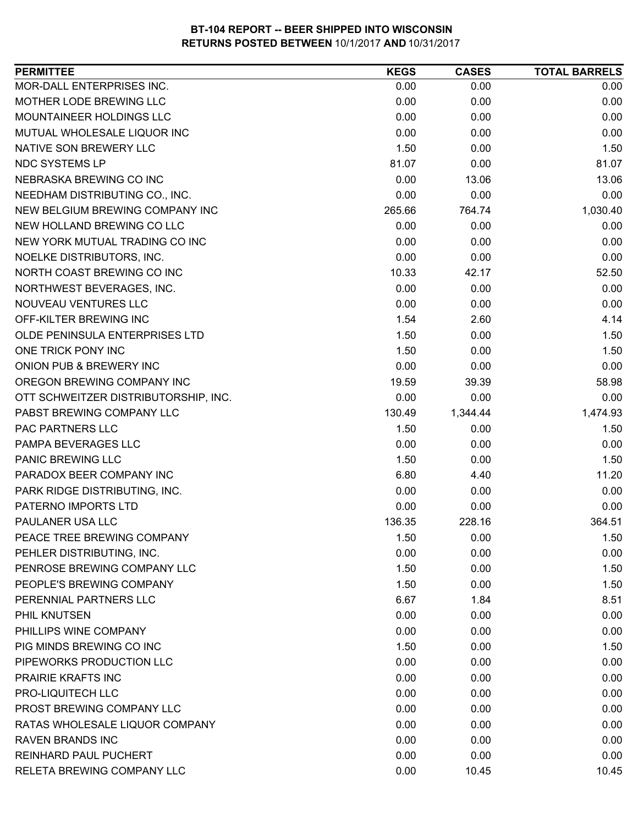| MOR-DALL ENTERPRISES INC.<br>0.00<br>0.00<br>MOTHER LODE BREWING LLC<br>0.00<br>0.00 | 0.00<br>0.00 |
|--------------------------------------------------------------------------------------|--------------|
|                                                                                      |              |
|                                                                                      |              |
| MOUNTAINEER HOLDINGS LLC<br>0.00<br>0.00                                             | 0.00         |
| 0.00<br>MUTUAL WHOLESALE LIQUOR INC<br>0.00                                          | 0.00         |
| NATIVE SON BREWERY LLC<br>1.50<br>0.00                                               | 1.50         |
| NDC SYSTEMS LP<br>81.07<br>0.00                                                      | 81.07        |
| NEBRASKA BREWING CO INC<br>0.00<br>13.06                                             | 13.06        |
| 0.00<br>NEEDHAM DISTRIBUTING CO., INC.<br>0.00                                       | 0.00         |
| NEW BELGIUM BREWING COMPANY INC<br>265.66<br>764.74                                  | 1,030.40     |
| NEW HOLLAND BREWING CO LLC<br>0.00<br>0.00                                           | 0.00         |
| NEW YORK MUTUAL TRADING CO INC<br>0.00<br>0.00                                       | 0.00         |
| 0.00<br>NOELKE DISTRIBUTORS, INC.<br>0.00                                            | 0.00         |
| NORTH COAST BREWING CO INC<br>10.33<br>42.17                                         | 52.50        |
| NORTHWEST BEVERAGES, INC.<br>0.00<br>0.00                                            | 0.00         |
| 0.00<br>NOUVEAU VENTURES LLC<br>0.00                                                 | 0.00         |
| OFF-KILTER BREWING INC<br>1.54<br>2.60                                               | 4.14         |
| 1.50<br>OLDE PENINSULA ENTERPRISES LTD<br>0.00                                       | 1.50         |
| ONE TRICK PONY INC<br>1.50<br>0.00                                                   | 1.50         |
| ONION PUB & BREWERY INC<br>0.00<br>0.00                                              | 0.00         |
| OREGON BREWING COMPANY INC<br>19.59<br>39.39                                         | 58.98        |
| 0.00<br>OTT SCHWEITZER DISTRIBUTORSHIP, INC.<br>0.00                                 | 0.00         |
| PABST BREWING COMPANY LLC<br>130.49<br>1,344.44                                      | 1,474.93     |
| PAC PARTNERS LLC<br>1.50<br>0.00                                                     | 1.50         |
| PAMPA BEVERAGES LLC<br>0.00<br>0.00                                                  | 0.00         |
| PANIC BREWING LLC<br>1.50<br>0.00                                                    | 1.50         |
| PARADOX BEER COMPANY INC<br>6.80<br>4.40                                             | 11.20        |
| PARK RIDGE DISTRIBUTING, INC.<br>0.00<br>0.00                                        | 0.00         |
| PATERNO IMPORTS LTD<br>0.00<br>0.00                                                  | 0.00         |
| PAULANER USA LLC<br>136.35<br>228.16                                                 | 364.51       |
| PEACE TREE BREWING COMPANY<br>0.00<br>1.50                                           | 1.50         |
| 0.00<br>0.00<br>PEHLER DISTRIBUTING, INC.                                            | 0.00         |
| PENROSE BREWING COMPANY LLC<br>1.50<br>0.00                                          | 1.50         |
| PEOPLE'S BREWING COMPANY<br>1.50<br>0.00                                             | 1.50         |
| PERENNIAL PARTNERS LLC<br>6.67<br>1.84                                               | 8.51         |
| PHIL KNUTSEN<br>0.00<br>0.00                                                         | 0.00         |
| PHILLIPS WINE COMPANY<br>0.00<br>0.00                                                | 0.00         |
| PIG MINDS BREWING CO INC<br>1.50<br>0.00                                             | 1.50         |
| PIPEWORKS PRODUCTION LLC<br>0.00<br>0.00                                             | 0.00         |
| PRAIRIE KRAFTS INC<br>0.00<br>0.00                                                   | 0.00         |
| PRO-LIQUITECH LLC<br>0.00<br>0.00                                                    | 0.00         |
| PROST BREWING COMPANY LLC<br>0.00<br>0.00                                            | 0.00         |
| RATAS WHOLESALE LIQUOR COMPANY<br>0.00<br>0.00                                       | 0.00         |
| 0.00<br><b>RAVEN BRANDS INC</b><br>0.00                                              | 0.00         |
| <b>REINHARD PAUL PUCHERT</b><br>0.00<br>0.00                                         | 0.00         |
| RELETA BREWING COMPANY LLC<br>0.00<br>10.45                                          | 10.45        |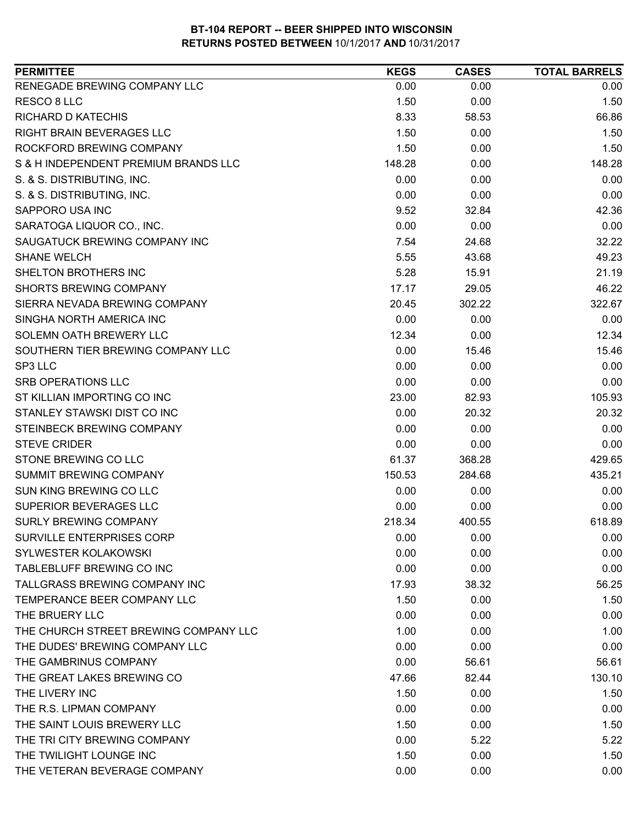| <b>PERMITTEE</b>                      | <b>KEGS</b> | <b>CASES</b> | <b>TOTAL BARRELS</b> |
|---------------------------------------|-------------|--------------|----------------------|
| RENEGADE BREWING COMPANY LLC          | 0.00        | 0.00         | 0.00                 |
| RESCO 8 LLC                           | 1.50        | 0.00         | 1.50                 |
| <b>RICHARD D KATECHIS</b>             | 8.33        | 58.53        | 66.86                |
| <b>RIGHT BRAIN BEVERAGES LLC</b>      | 1.50        | 0.00         | 1.50                 |
| ROCKFORD BREWING COMPANY              | 1.50        | 0.00         | 1.50                 |
| S & H INDEPENDENT PREMIUM BRANDS LLC  | 148.28      | 0.00         | 148.28               |
| S. & S. DISTRIBUTING, INC.            | 0.00        | 0.00         | 0.00                 |
| S. & S. DISTRIBUTING, INC.            | 0.00        | 0.00         | 0.00                 |
| <b>SAPPORO USA INC</b>                | 9.52        | 32.84        | 42.36                |
| SARATOGA LIQUOR CO., INC.             | 0.00        | 0.00         | 0.00                 |
| SAUGATUCK BREWING COMPANY INC         | 7.54        | 24.68        | 32.22                |
| <b>SHANE WELCH</b>                    | 5.55        | 43.68        | 49.23                |
| SHELTON BROTHERS INC                  | 5.28        | 15.91        | 21.19                |
| <b>SHORTS BREWING COMPANY</b>         | 17.17       | 29.05        | 46.22                |
| SIERRA NEVADA BREWING COMPANY         | 20.45       | 302.22       | 322.67               |
| SINGHA NORTH AMERICA INC              | 0.00        | 0.00         | 0.00                 |
| SOLEMN OATH BREWERY LLC               | 12.34       | 0.00         | 12.34                |
| SOUTHERN TIER BREWING COMPANY LLC     | 0.00        | 15.46        | 15.46                |
| SP3 LLC                               | 0.00        | 0.00         | 0.00                 |
| <b>SRB OPERATIONS LLC</b>             | 0.00        | 0.00         | 0.00                 |
| ST KILLIAN IMPORTING CO INC           | 23.00       | 82.93        | 105.93               |
| STANLEY STAWSKI DIST CO INC           | 0.00        | 20.32        | 20.32                |
| STEINBECK BREWING COMPANY             | 0.00        | 0.00         | 0.00                 |
| <b>STEVE CRIDER</b>                   | 0.00        | 0.00         | 0.00                 |
| STONE BREWING CO LLC                  | 61.37       | 368.28       | 429.65               |
| SUMMIT BREWING COMPANY                | 150.53      | 284.68       | 435.21               |
| SUN KING BREWING CO LLC               | 0.00        | 0.00         | 0.00                 |
| SUPERIOR BEVERAGES LLC                | 0.00        | 0.00         | 0.00                 |
| <b>SURLY BREWING COMPANY</b>          | 218.34      | 400.55       | 618.89               |
| SURVILLE ENTERPRISES CORP             | 0.00        | 0.00         | 0.00                 |
| SYLWESTER KOLAKOWSKI                  | 0.00        | 0.00         | 0.00                 |
| TABLEBLUFF BREWING CO INC             | 0.00        | 0.00         | 0.00                 |
| TALLGRASS BREWING COMPANY INC         | 17.93       | 38.32        | 56.25                |
| TEMPERANCE BEER COMPANY LLC           | 1.50        | 0.00         | 1.50                 |
| THE BRUERY LLC                        | 0.00        | 0.00         | 0.00                 |
| THE CHURCH STREET BREWING COMPANY LLC | 1.00        | 0.00         | 1.00                 |
| THE DUDES' BREWING COMPANY LLC        | 0.00        | 0.00         | 0.00                 |
| THE GAMBRINUS COMPANY                 | 0.00        | 56.61        | 56.61                |
| THE GREAT LAKES BREWING CO            | 47.66       | 82.44        | 130.10               |
| THE LIVERY INC                        | 1.50        | 0.00         | 1.50                 |
| THE R.S. LIPMAN COMPANY               | 0.00        | 0.00         | 0.00                 |
| THE SAINT LOUIS BREWERY LLC           | 1.50        | 0.00         | 1.50                 |
| THE TRI CITY BREWING COMPANY          | 0.00        | 5.22         | 5.22                 |
| THE TWILIGHT LOUNGE INC               | 1.50        | 0.00         | 1.50                 |
| THE VETERAN BEVERAGE COMPANY          | 0.00        | 0.00         | 0.00                 |